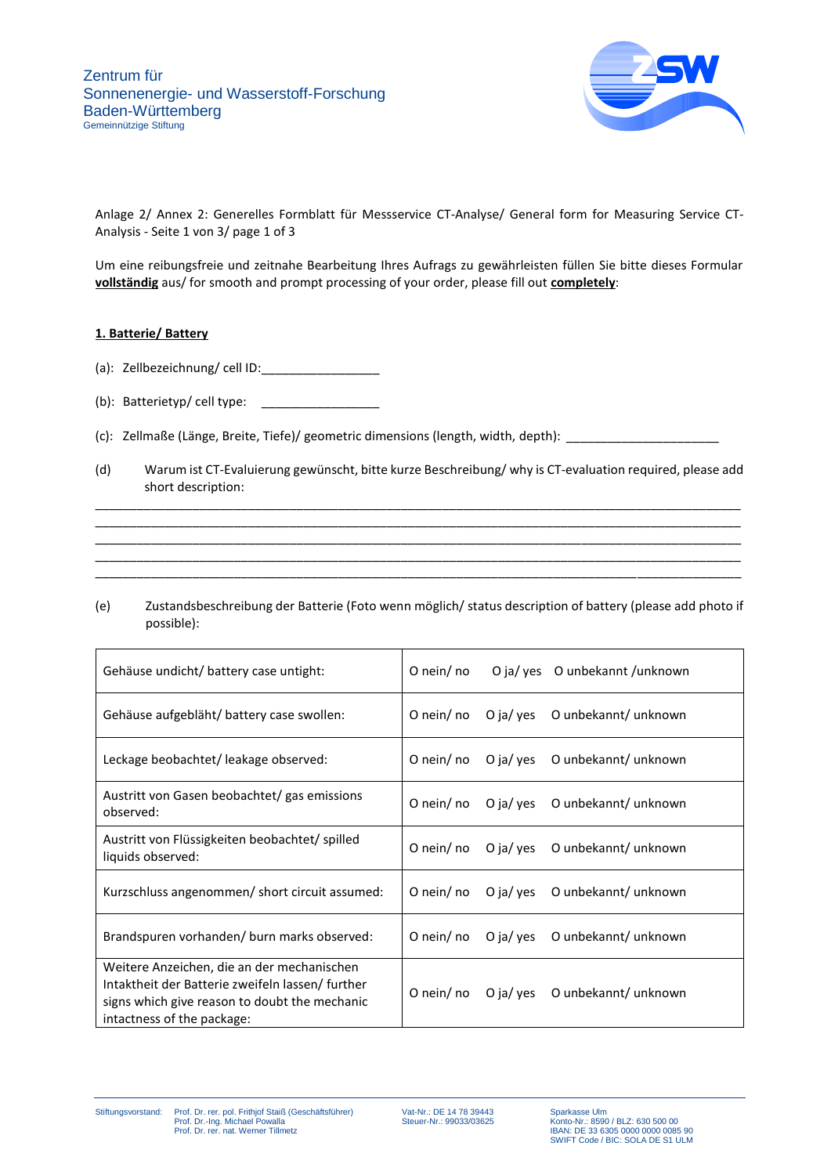

Anlage 2/ Annex 2: Generelles Formblatt für Messservice CT-Analyse/ General form for Measuring Service CT-Analysis - Seite 1 von 3/ page 1 of 3

Um eine reibungsfreie und zeitnahe Bearbeitung Ihres Aufrags zu gewährleisten füllen Sie bitte dieses Formular **vollständig** aus/ for smooth and prompt processing of your order, please fill out **completely**:

# **1. Batterie/ Battery**

- (a): Zellbezeichnung/ cell ID:\_\_\_\_\_\_\_\_\_\_\_\_\_\_\_\_\_
- (b): Batterietyp/ cell type:  $\frac{1}{2}$
- (c): Zellmaße (Länge, Breite, Tiefe)/ geometric dimensions (length, width, depth): \_\_\_\_\_\_\_\_\_\_\_\_\_\_\_\_\_\_\_\_\_\_
- (d) Warum ist CT-Evaluierung gewünscht, bitte kurze Beschreibung/ why is CT-evaluation required, please add short description:

\_\_\_\_\_\_\_\_\_\_\_\_\_\_\_\_\_\_\_\_\_\_\_\_\_\_\_\_\_\_\_\_\_\_\_\_\_\_\_\_\_\_\_\_\_\_\_\_\_\_\_\_\_\_\_\_\_\_\_\_\_\_\_\_\_\_\_\_\_\_\_\_\_\_\_\_\_\_\_\_\_\_\_\_\_\_\_\_\_\_\_\_\_ \_\_\_\_\_\_\_\_\_\_\_\_\_\_\_\_\_\_\_\_\_\_\_\_\_\_\_\_\_\_\_\_\_\_\_\_\_\_\_\_\_\_\_\_\_\_\_\_\_\_\_\_\_\_\_\_\_\_\_\_\_\_\_\_\_\_\_\_\_\_\_\_\_\_\_\_\_\_\_\_\_\_\_\_\_\_\_\_\_\_\_\_\_ \_\_\_\_\_\_\_\_\_\_\_\_\_\_\_\_\_\_\_\_\_\_\_\_\_\_\_\_\_\_\_\_\_\_\_\_\_\_\_\_\_\_\_\_\_\_\_\_\_\_\_\_\_\_\_\_\_\_\_\_\_\_\_\_\_\_\_\_\_\_\_\_\_\_\_\_\_\_\_\_\_\_\_\_\_\_\_\_\_\_\_\_\_ \_\_\_\_\_\_\_\_\_\_\_\_\_\_\_\_\_\_\_\_\_\_\_\_\_\_\_\_\_\_\_\_\_\_\_\_\_\_\_\_\_\_\_\_\_\_\_\_\_\_\_\_\_\_\_\_\_\_\_\_\_\_\_\_\_\_\_\_\_\_\_\_\_\_\_\_\_\_\_\_\_\_\_\_\_\_\_\_\_\_\_\_\_ \_\_\_\_\_\_\_\_\_\_\_\_\_\_\_\_\_\_\_\_\_\_\_\_\_\_\_\_\_\_\_\_\_\_\_\_\_\_\_\_\_\_\_\_\_\_\_\_\_\_\_\_\_\_\_\_\_\_\_\_\_\_\_\_\_\_\_\_\_\_\_\_\_\_\_\_\_\_\_\_\_\_\_\_\_\_\_\_\_\_\_\_\_

(e) Zustandsbeschreibung der Batterie (Foto wenn möglich/ status description of battery (please add photo if possible):

| Gehäuse undicht/ battery case untight:                                                                                                                                       | O nein/ no   |           | O ja/ yes O unbekannt /unknown |
|------------------------------------------------------------------------------------------------------------------------------------------------------------------------------|--------------|-----------|--------------------------------|
| Gehäuse aufgebläht/ battery case swollen:                                                                                                                                    | O nein/ no   | O ja/ yes | O unbekannt/ unknown           |
| Leckage beobachtet/ leakage observed:                                                                                                                                        | O nein/ $no$ |           | O ja/ yes O unbekannt/ unknown |
| Austritt von Gasen beobachtet/ gas emissions<br>observed:                                                                                                                    | O nein/ no   | O ja/ yes | O unbekannt/ unknown           |
| Austritt von Flüssigkeiten beobachtet/ spilled<br>liquids observed:                                                                                                          | O nein/ no   | O ja/ yes | O unbekannt/ unknown           |
| Kurzschluss angenommen/ short circuit assumed:                                                                                                                               | O nein/ no   | O ja/ yes | O unbekannt/ unknown           |
| Brandspuren vorhanden/ burn marks observed:                                                                                                                                  | O nein/ $no$ | O ja/ yes | O unbekannt/ unknown           |
| Weitere Anzeichen, die an der mechanischen<br>Intaktheit der Batterie zweifeln lassen/further<br>signs which give reason to doubt the mechanic<br>intactness of the package: | O nein/ no   |           | O ja/ yes O unbekannt/ unknown |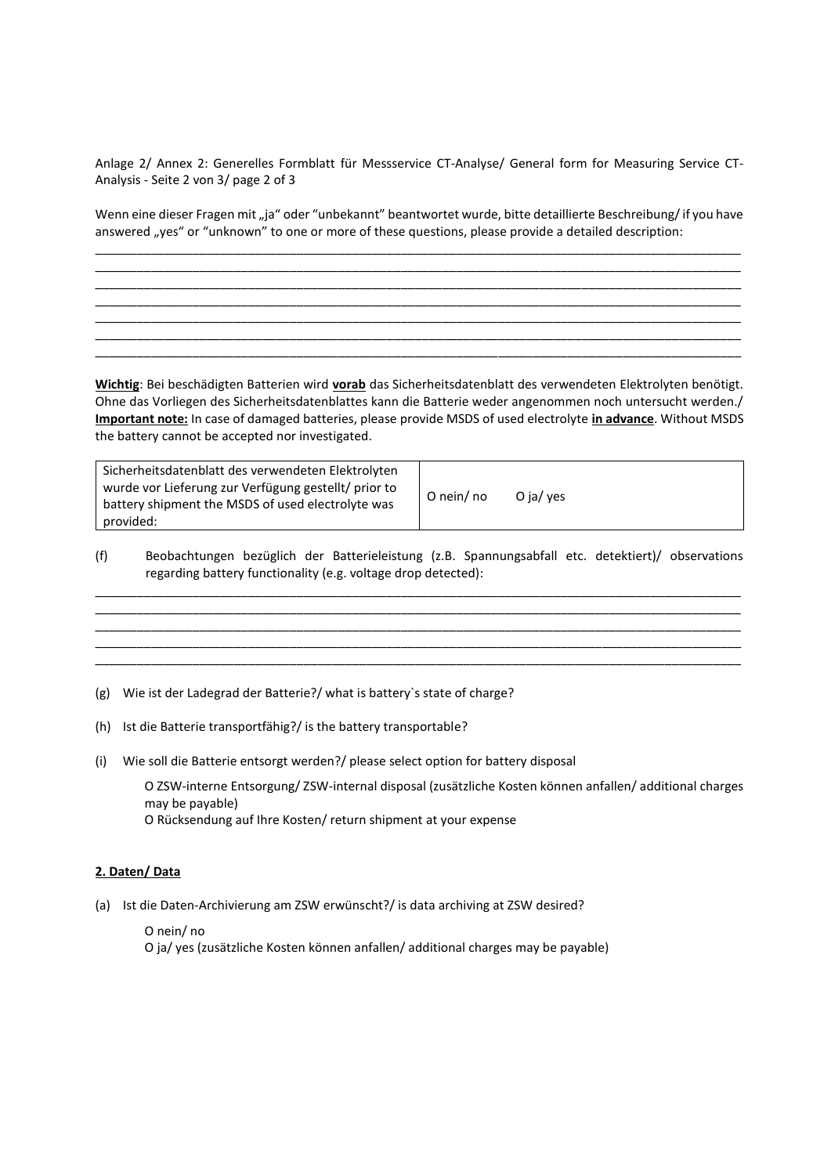Anlage 2/ Annex 2: Generelles Formblatt für Messservice CT-Analyse/ General form for Measuring Service CT-Analysis - Seite 2 von 3/ page 2 of 3

Wenn eine dieser Fragen mit "ja" oder "unbekannt" beantwortet wurde, bitte detaillierte Beschreibung/ if you have answered "yes" or "unknown" to one or more of these questions, please provide a detailed description:

\_\_\_\_\_\_\_\_\_\_\_\_\_\_\_\_\_\_\_\_\_\_\_\_\_\_\_\_\_\_\_\_\_\_\_\_\_\_\_\_\_\_\_\_\_\_\_\_\_\_\_\_\_\_\_\_\_\_\_\_\_\_\_\_\_\_\_\_\_\_\_\_\_\_\_\_\_\_\_\_\_\_\_\_\_\_\_\_\_\_\_\_\_ \_\_\_\_\_\_\_\_\_\_\_\_\_\_\_\_\_\_\_\_\_\_\_\_\_\_\_\_\_\_\_\_\_\_\_\_\_\_\_\_\_\_\_\_\_\_\_\_\_\_\_\_\_\_\_\_\_\_\_\_\_\_\_\_\_\_\_\_\_\_\_\_\_\_\_\_\_\_\_\_\_\_\_\_\_\_\_\_\_\_\_\_\_ \_\_\_\_\_\_\_\_\_\_\_\_\_\_\_\_\_\_\_\_\_\_\_\_\_\_\_\_\_\_\_\_\_\_\_\_\_\_\_\_\_\_\_\_\_\_\_\_\_\_\_\_\_\_\_\_\_\_\_\_\_\_\_\_\_\_\_\_\_\_\_\_\_\_\_\_\_\_\_\_\_\_\_\_\_\_\_\_\_\_\_\_\_ \_\_\_\_\_\_\_\_\_\_\_\_\_\_\_\_\_\_\_\_\_\_\_\_\_\_\_\_\_\_\_\_\_\_\_\_\_\_\_\_\_\_\_\_\_\_\_\_\_\_\_\_\_\_\_\_\_\_\_\_\_\_\_\_\_\_\_\_\_\_\_\_\_\_\_\_\_\_\_\_\_\_\_\_\_\_\_\_\_\_\_\_\_ \_\_\_\_\_\_\_\_\_\_\_\_\_\_\_\_\_\_\_\_\_\_\_\_\_\_\_\_\_\_\_\_\_\_\_\_\_\_\_\_\_\_\_\_\_\_\_\_\_\_\_\_\_\_\_\_\_\_\_\_\_\_\_\_\_\_\_\_\_\_\_\_\_\_\_\_\_\_\_\_\_\_\_\_\_\_\_\_\_\_\_\_\_ \_\_\_\_\_\_\_\_\_\_\_\_\_\_\_\_\_\_\_\_\_\_\_\_\_\_\_\_\_\_\_\_\_\_\_\_\_\_\_\_\_\_\_\_\_\_\_\_\_\_\_\_\_\_\_\_\_\_\_\_\_\_\_\_\_\_\_\_\_\_\_\_\_\_\_\_\_\_\_\_\_\_\_\_\_\_\_\_\_\_\_\_\_ \_\_\_\_\_\_\_\_\_\_\_\_\_\_\_\_\_\_\_\_\_\_\_\_\_\_\_\_\_\_\_\_\_\_\_\_\_\_\_\_\_\_\_\_\_\_\_\_\_\_\_\_\_\_\_\_\_\_\_\_\_\_\_\_\_\_\_\_\_\_\_\_\_\_\_\_\_\_\_\_\_\_\_\_\_\_\_\_\_\_\_\_\_

**Wichtig**: Bei beschädigten Batterien wird **vorab** das Sicherheitsdatenblatt des verwendeten Elektrolyten benötigt. Ohne das Vorliegen des Sicherheitsdatenblattes kann die Batterie weder angenommen noch untersucht werden./ **Important note:** In case of damaged batteries, please provide MSDS of used electrolyte **in advance**. Without MSDS the battery cannot be accepted nor investigated.

| Sicherheitsdatenblatt des verwendeten Elektrolyten<br>wurde vor Lieferung zur Verfügung gestellt/ prior to<br>battery shipment the MSDS of used electrolyte was<br>provided: | O nein/ no | O ja/ yes |
|------------------------------------------------------------------------------------------------------------------------------------------------------------------------------|------------|-----------|
|                                                                                                                                                                              |            |           |

(f) Beobachtungen bezüglich der Batterieleistung (z.B. Spannungsabfall etc. detektiert)/ observations regarding battery functionality (e.g. voltage drop detected): \_\_\_\_\_\_\_\_\_\_\_\_\_\_\_\_\_\_\_\_\_\_\_\_\_\_\_\_\_\_\_\_\_\_\_\_\_\_\_\_\_\_\_\_\_\_\_\_\_\_\_\_\_\_\_\_\_\_\_\_\_\_\_\_\_\_\_\_\_\_\_\_\_\_\_\_\_\_\_\_\_\_\_\_\_\_\_\_\_\_\_\_\_

\_\_\_\_\_\_\_\_\_\_\_\_\_\_\_\_\_\_\_\_\_\_\_\_\_\_\_\_\_\_\_\_\_\_\_\_\_\_\_\_\_\_\_\_\_\_\_\_\_\_\_\_\_\_\_\_\_\_\_\_\_\_\_\_\_\_\_\_\_\_\_\_\_\_\_\_\_\_\_\_\_\_\_\_\_\_\_\_\_\_\_\_\_ \_\_\_\_\_\_\_\_\_\_\_\_\_\_\_\_\_\_\_\_\_\_\_\_\_\_\_\_\_\_\_\_\_\_\_\_\_\_\_\_\_\_\_\_\_\_\_\_\_\_\_\_\_\_\_\_\_\_\_\_\_\_\_\_\_\_\_\_\_\_\_\_\_\_\_\_\_\_\_\_\_\_\_\_\_\_\_\_\_\_\_\_\_ \_\_\_\_\_\_\_\_\_\_\_\_\_\_\_\_\_\_\_\_\_\_\_\_\_\_\_\_\_\_\_\_\_\_\_\_\_\_\_\_\_\_\_\_\_\_\_\_\_\_\_\_\_\_\_\_\_\_\_\_\_\_\_\_\_\_\_\_\_\_\_\_\_\_\_\_\_\_\_\_\_\_\_\_\_\_\_\_\_\_\_\_\_ \_\_\_\_\_\_\_\_\_\_\_\_\_\_\_\_\_\_\_\_\_\_\_\_\_\_\_\_\_\_\_\_\_\_\_\_\_\_\_\_\_\_\_\_\_\_\_\_\_\_\_\_\_\_\_\_\_\_\_\_\_\_\_\_\_\_\_\_\_\_\_\_\_\_\_\_\_\_\_\_\_\_\_\_\_\_\_\_\_\_\_\_\_

(g) Wie ist der Ladegrad der Batterie?/ what is battery`s state of charge?

- (h) Ist die Batterie transportfähig?/ is the battery transportable?
- (i) Wie soll die Batterie entsorgt werden?/ please select option for battery disposal

O ZSW-interne Entsorgung/ ZSW-internal disposal (zusätzliche Kosten können anfallen/ additional charges may be payable)

O Rücksendung auf Ihre Kosten/ return shipment at your expense

#### **2. Daten/ Data**

(a) Ist die Daten-Archivierung am ZSW erwünscht?/ is data archiving at ZSW desired?

O nein/ no O ja/ yes (zusätzliche Kosten können anfallen/ additional charges may be payable)